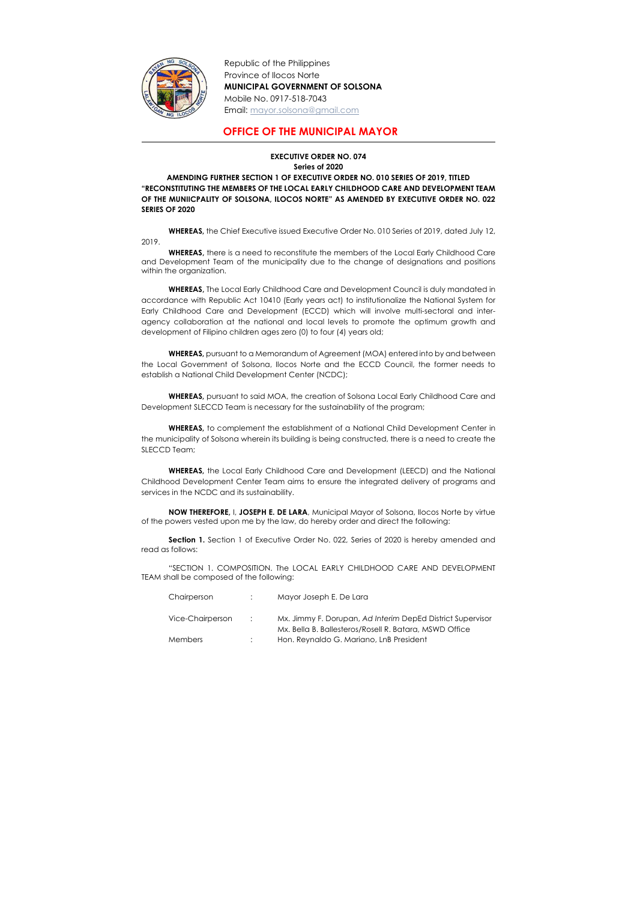

Republic of the Philippines Province of Ilocos Norte MUNICIPAL GOVERNMENT OF SOLSONA Mobile No. 0917-518-7043 Email: mayor.solsona@gmail.com

## OFFICE OF THE MUNICIPAL MAYOR

## EXECUTIVE ORDER NO. 074 Series of 2020

AMENDING FURTHER SECTION 1 OF EXECUTIVE ORDER NO. 010 SERIES OF 2019, TITLED "RECONSTITUTING THE MEMBERS OF THE LOCAL EARLY CHILDHOOD CARE AND DEVELOPMENT TEAM OF THE MUNIICPALITY OF SOLSONA, ILOCOS NORTE" AS AMENDED BY EXECUTIVE ORDER NO. 022 SERIES OF 2020

 WHEREAS, the Chief Executive issued Executive Order No. 010 Series of 2019, dated July 12, 2019.

WHEREAS, there is a need to reconstitute the members of the Local Early Childhood Care and Development Team of the municipality due to the change of designations and positions within the organization.

WHEREAS, The Local Early Childhood Care and Development Council is duly mandated in accordance with Republic Act 10410 (Early years act) to institutionalize the National System for Early Childhood Care and Development (ECCD) which will involve multi-sectoral and interagency collaboration at the national and local levels to promote the optimum growth and development of Filipino children ages zero (0) to four (4) years old;

Section 1. Section 1 of Executive Order No. 022, Series of 2020 is hereby amended and read as follows:

 WHEREAS, pursuant to a Memorandum of Agreement (MOA) entered into by and between the Local Government of Solsona, Ilocos Norte and the ECCD Council, the former needs to establish a National Child Development Center (NCDC);

 WHEREAS, pursuant to said MOA, the creation of Solsona Local Early Childhood Care and Development SLECCD Team is necessary for the sustainability of the program;

 WHEREAS, to complement the establishment of a National Child Development Center in the municipality of Solsona wherein its building is being constructed, there is a need to create the SLECCD Team;

 WHEREAS, the Local Early Childhood Care and Development (LEECD) and the National Childhood Development Center Team aims to ensure the integrated delivery of programs and services in the NCDC and its sustainability.

NOW THEREFORE, I, JOSEPH E. DE LARA, Municipal Mayor of Solsona, Ilocos Norte by virtue of the powers vested upon me by the law, do hereby order and direct the following:

"SECTION 1. COMPOSITION. The LOCAL EARLY CHILDHOOD CARE AND DEVELOPMENT TEAM shall be composed of the following:

| Chairperson      | Mayor Joseph E. De Lara                                                                                              |
|------------------|----------------------------------------------------------------------------------------------------------------------|
| Vice-Chairperson | Mx. Jimmy F. Dorupan, Ad Interim DepEd District Supervisor<br>Mx. Bella B. Ballesteros/Rosell R. Batara, MSWD Office |
| <b>Members</b>   | Hon. Reynaldo G. Mariano, LnB President                                                                              |